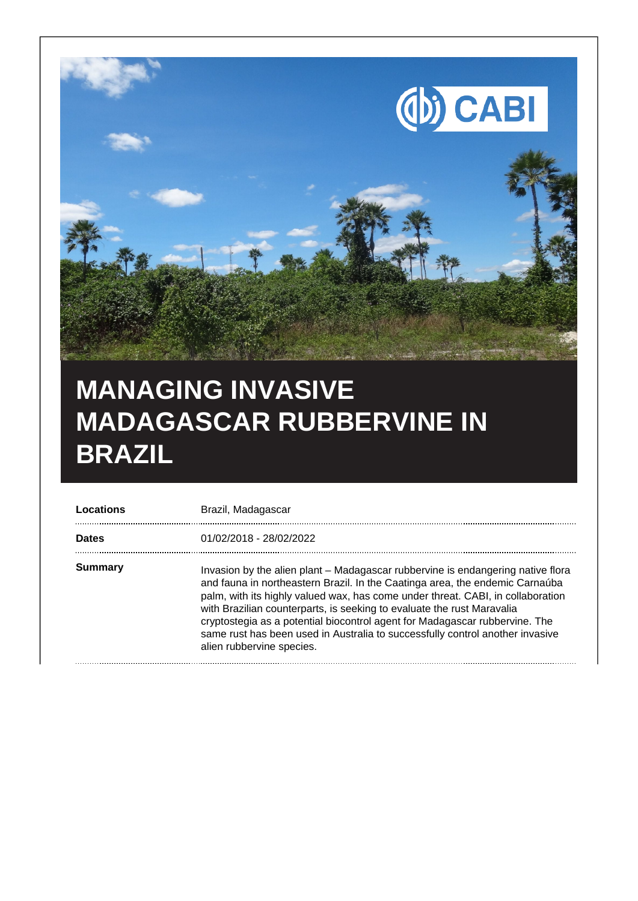

## **MANAGING INVASIVE MADAGASCAR RUBBERVINE IN BRAZIL**

| Locations    | Brazil, Madagascar                                                                                                                                                                                                                                                                                                                                                                                                                                                                                                        |
|--------------|---------------------------------------------------------------------------------------------------------------------------------------------------------------------------------------------------------------------------------------------------------------------------------------------------------------------------------------------------------------------------------------------------------------------------------------------------------------------------------------------------------------------------|
| <b>Dates</b> | 01/02/2018 - 28/02/2022                                                                                                                                                                                                                                                                                                                                                                                                                                                                                                   |
| Summary      | Invasion by the alien plant - Madagascar rubbervine is endangering native flora<br>and fauna in northeastern Brazil. In the Caatinga area, the endemic Carnaúba<br>palm, with its highly valued wax, has come under threat. CABI, in collaboration<br>with Brazilian counterparts, is seeking to evaluate the rust Maravalia<br>cryptostegia as a potential biocontrol agent for Madagascar rubbervine. The<br>same rust has been used in Australia to successfully control another invasive<br>alien rubbervine species. |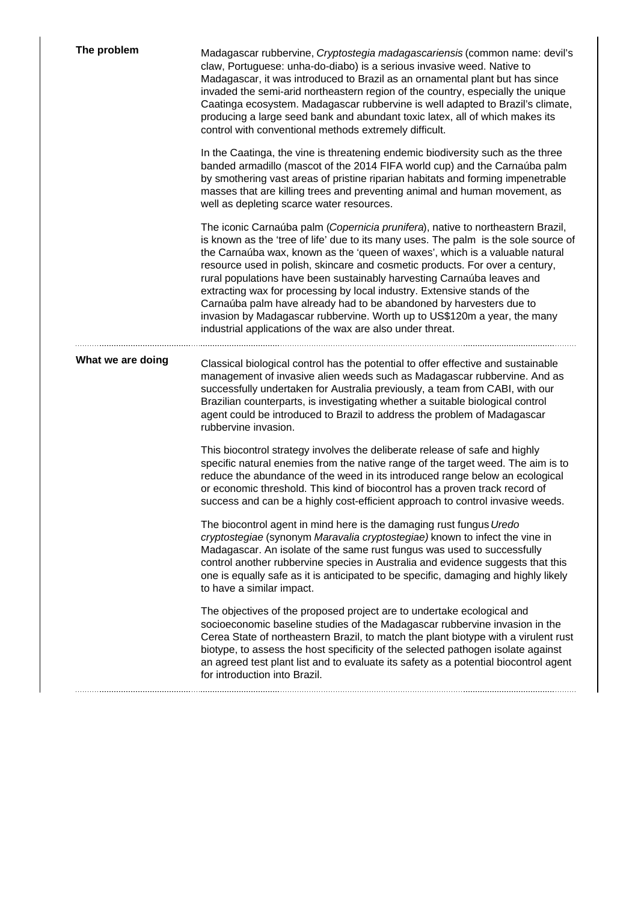| The problem       | Madagascar rubbervine, Cryptostegia madagascariensis (common name: devil's<br>claw, Portuguese: unha-do-diabo) is a serious invasive weed. Native to<br>Madagascar, it was introduced to Brazil as an ornamental plant but has since<br>invaded the semi-arid northeastern region of the country, especially the unique<br>Caatinga ecosystem. Madagascar rubbervine is well adapted to Brazil's climate,<br>producing a large seed bank and abundant toxic latex, all of which makes its<br>control with conventional methods extremely difficult.                                                                                                                                                          |
|-------------------|--------------------------------------------------------------------------------------------------------------------------------------------------------------------------------------------------------------------------------------------------------------------------------------------------------------------------------------------------------------------------------------------------------------------------------------------------------------------------------------------------------------------------------------------------------------------------------------------------------------------------------------------------------------------------------------------------------------|
|                   | In the Caatinga, the vine is threatening endemic biodiversity such as the three<br>banded armadillo (mascot of the 2014 FIFA world cup) and the Carnaúba palm<br>by smothering vast areas of pristine riparian habitats and forming impenetrable<br>masses that are killing trees and preventing animal and human movement, as<br>well as depleting scarce water resources.                                                                                                                                                                                                                                                                                                                                  |
|                   | The iconic Carnaúba palm (Copernicia prunifera), native to northeastern Brazil,<br>is known as the 'tree of life' due to its many uses. The palm is the sole source of<br>the Carnaúba wax, known as the 'queen of waxes', which is a valuable natural<br>resource used in polish, skincare and cosmetic products. For over a century,<br>rural populations have been sustainably harvesting Carnaúba leaves and<br>extracting wax for processing by local industry. Extensive stands of the<br>Carnaúba palm have already had to be abandoned by harvesters due to<br>invasion by Madagascar rubbervine. Worth up to US\$120m a year, the many<br>industrial applications of the wax are also under threat. |
| What we are doing | Classical biological control has the potential to offer effective and sustainable<br>management of invasive alien weeds such as Madagascar rubbervine. And as<br>successfully undertaken for Australia previously, a team from CABI, with our<br>Brazilian counterparts, is investigating whether a suitable biological control<br>agent could be introduced to Brazil to address the problem of Madagascar<br>rubbervine invasion.                                                                                                                                                                                                                                                                          |
|                   | This biocontrol strategy involves the deliberate release of safe and highly<br>specific natural enemies from the native range of the target weed. The aim is to<br>reduce the abundance of the weed in its introduced range below an ecological<br>or economic threshold. This kind of biocontrol has a proven track record of<br>success and can be a highly cost-efficient approach to control invasive weeds.                                                                                                                                                                                                                                                                                             |
|                   | The biocontrol agent in mind here is the damaging rust fungus Uredo<br>cryptostegiae (synonym Maravalia cryptostegiae) known to infect the vine in<br>Madagascar. An isolate of the same rust fungus was used to successfully<br>control another rubbervine species in Australia and evidence suggests that this<br>one is equally safe as it is anticipated to be specific, damaging and highly likely<br>to have a similar impact.                                                                                                                                                                                                                                                                         |
|                   | The objectives of the proposed project are to undertake ecological and<br>socioeconomic baseline studies of the Madagascar rubbervine invasion in the<br>Cerea State of northeastern Brazil, to match the plant biotype with a virulent rust<br>biotype, to assess the host specificity of the selected pathogen isolate against<br>an agreed test plant list and to evaluate its safety as a potential biocontrol agent<br>for introduction into Brazil.                                                                                                                                                                                                                                                    |